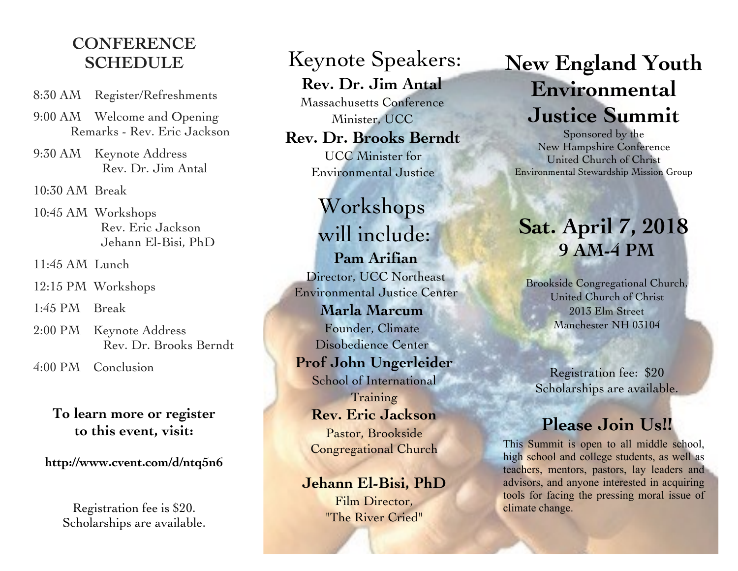### **CONFERENCE SCHEDULE**

- 8:30 AM Register/Refreshments
- 9:00 AM Welcome and Opening Remarks - Rev. Eric Jackson
- 9:30 AM Keynote Address Rev. Dr. Jim Antal

10:30 AM Break

10:45 AM Workshops Rev. Eric Jackson Jehann El-Bisi, PhD

11:45 AM Lunch

12:15 PM Workshops

1:45 PM Break

2:00 PM Keynote Address Rev. Dr. Brooks Berndt

4:00 PM Conclusion

#### **To learn more or register to this event, visit:**

**http://www.cvent.com/d/ntq5n6**

Registration fee is \$20. Scholarships are available.

## Keynote Speakers: **Rev. Dr. Jim Antal**

Massachusetts Conference Minister, UCC

#### **Rev. Dr. Brooks Berndt** UCC Minister for

Environmental Justice

# Workshops will include:

**Pam Arifian** Director, UCC Northeast Environmental Justice Center **Marla Marcum** Founder, Climate Disobedience Center **Prof John Ungerleider** School of International **Training Rev. Eric Jackson** Pastor, Brookside Congregational Church

#### **Jehann El-Bisi, PhD**

Film Director, "The River Cried"

# **New England Youth Environmental Justice Summit**

Sponsored by the New Hampshire Conference United Church of Christ Environmental Stewardship Mission Group

# **Sat. April 7, 2018 9 AM-4 PM**

Brookside Congregational Church, United Church of Christ 2013 Elm Street Manchester NH 03104

Registration fee: \$20 Scholarships are available.

## **Please Join Us!!**

This Summit is open to all middle school, high school and college students, as well as teachers, mentors, pastors, lay leaders and advisors, and anyone interested in acquiring tools for facing the pressing moral issue of climate change.